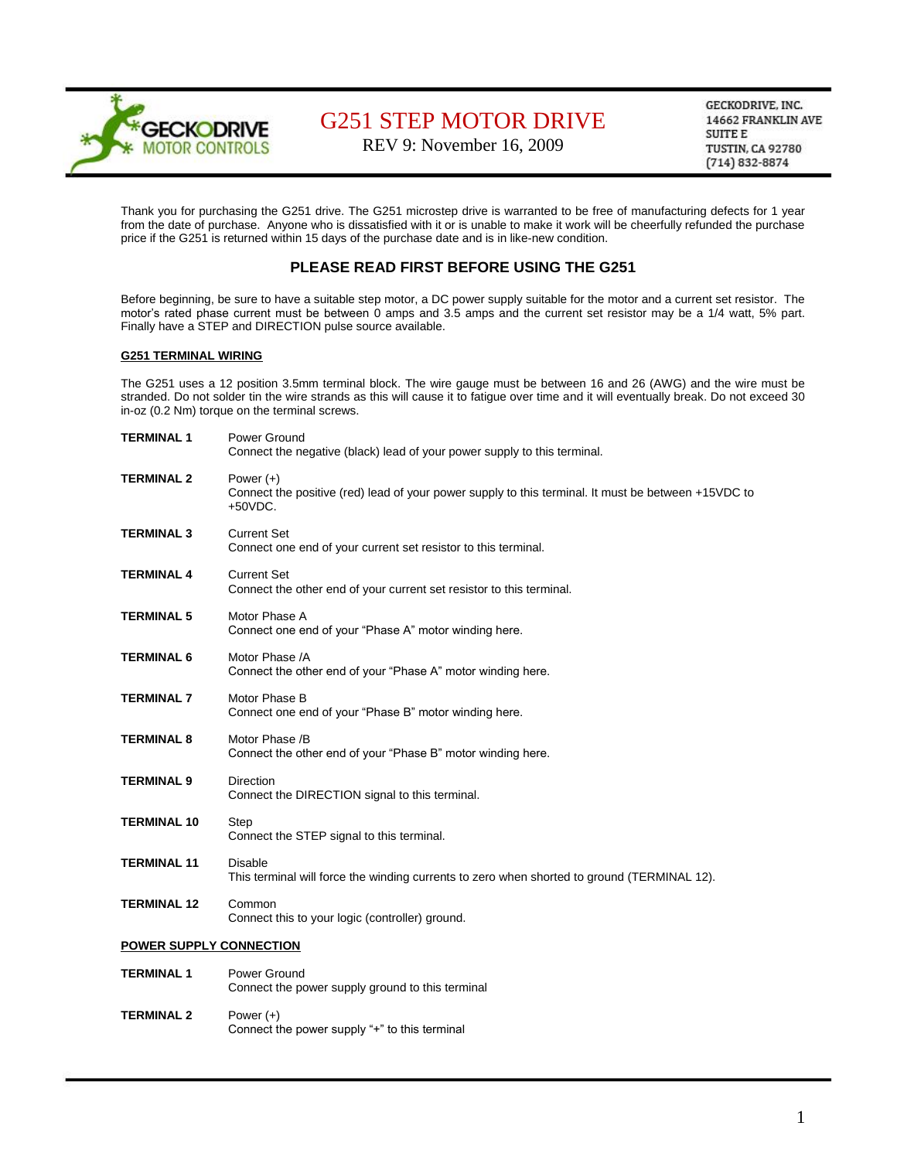

REV 9: November 16, 2009

GECKODRIVE, INC. 14662 FRANKLIN AVE **SUITE E** TUSTIN, CA 92780  $(714) 832 - 8874$ 

Thank you for purchasing the G251 drive. The G251 microstep drive is warranted to be free of manufacturing defects for 1 year from the date of purchase. Anyone who is dissatisfied with it or is unable to make it work will be cheerfully refunded the purchase price if the G251 is returned within 15 days of the purchase date and is in like-new condition.

### **PLEASE READ FIRST BEFORE USING THE G251**

Before beginning, be sure to have a suitable step motor, a DC power supply suitable for the motor and a current set resistor. The motor's rated phase current must be between 0 amps and 3.5 amps and the current set resistor may be a 1/4 watt, 5% part. Finally have a STEP and DIRECTION pulse source available.

#### **G251 TERMINAL WIRING**

The G251 uses a 12 position 3.5mm terminal block. The wire gauge must be between 16 and 26 (AWG) and the wire must be stranded. Do not solder tin the wire strands as this will cause it to fatigue over time and it will eventually break. Do not exceed 30 in-oz (0.2 Nm) torque on the terminal screws.

| <b>TERMINAL 1</b>              | Power Ground<br>Connect the negative (black) lead of your power supply to this terminal.                                         |  |
|--------------------------------|----------------------------------------------------------------------------------------------------------------------------------|--|
| <b>TERMINAL 2</b>              | Power $(+)$<br>Connect the positive (red) lead of your power supply to this terminal. It must be between +15VDC to<br>$+50VDC$ . |  |
| <b>TERMINAL 3</b>              | <b>Current Set</b><br>Connect one end of your current set resistor to this terminal.                                             |  |
| <b>TERMINAL 4</b>              | <b>Current Set</b><br>Connect the other end of your current set resistor to this terminal.                                       |  |
| <b>TERMINAL 5</b>              | Motor Phase A<br>Connect one end of your "Phase A" motor winding here.                                                           |  |
| <b>TERMINAL 6</b>              | Motor Phase /A<br>Connect the other end of your "Phase A" motor winding here.                                                    |  |
| <b>TERMINAL 7</b>              | Motor Phase B<br>Connect one end of your "Phase B" motor winding here.                                                           |  |
| <b>TERMINAL 8</b>              | Motor Phase /B<br>Connect the other end of your "Phase B" motor winding here.                                                    |  |
| <b>TERMINAL 9</b>              | <b>Direction</b><br>Connect the DIRECTION signal to this terminal.                                                               |  |
| <b>TERMINAL 10</b>             | <b>Step</b><br>Connect the STEP signal to this terminal.                                                                         |  |
| <b>TERMINAL 11</b>             | <b>Disable</b><br>This terminal will force the winding currents to zero when shorted to ground (TERMINAL 12).                    |  |
| <b>TERMINAL 12</b>             | Common<br>Connect this to your logic (controller) ground.                                                                        |  |
| <b>POWER SUPPLY CONNECTION</b> |                                                                                                                                  |  |
| <b>TERMINAL 1</b>              | Power Ground<br>Connect the power supply ground to this terminal                                                                 |  |
| <b>TERMINAL 2</b>              | Power $(+)$<br>Connect the power supply "+" to this terminal                                                                     |  |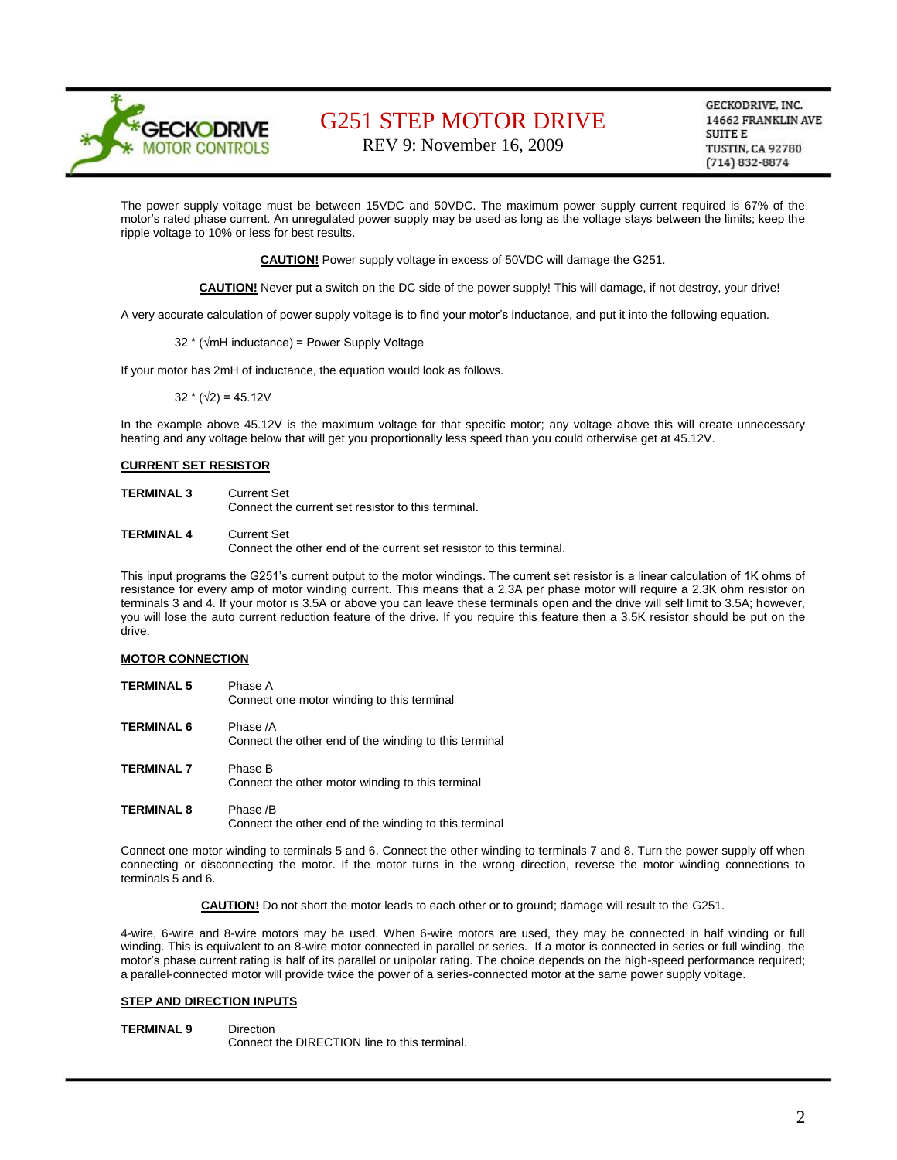

REV 9: November 16, 2009

GECKODRIVE, INC. 14662 FRANKLIN AVE SUITE E **TUSTIN, CA 92780**  $(714) 832 - 8874$ 

The power supply voltage must be between 15VDC and 50VDC. The maximum power supply current required is 67% of the motor's rated phase current. An unregulated power supply may be used as long as the voltage stays between the limits; keep the ripple voltage to 10% or less for best results.

**CAUTION!** Power supply voltage in excess of 50VDC will damage the G251.

**CAUTION!** Never put a switch on the DC side of the power supply! This will damage, if not destroy, your drive!

A very accurate calculation of power supply voltage is to find your motor's inductance, and put it into the following equation.

32 \* (√mH inductance) = Power Supply Voltage

If your motor has 2mH of inductance, the equation would look as follows.

 $32 * (\sqrt{2}) = 45.12V$ 

In the example above 45.12V is the maximum voltage for that specific motor; any voltage above this will create unnecessary heating and any voltage below that will get you proportionally less speed than you could otherwise get at 45.12V.

#### **CURRENT SET RESISTOR**

| <b>TERMINAL 3</b> | Current Set<br>Connect the current set resistor to this terminal.                  |
|-------------------|------------------------------------------------------------------------------------|
| <b>TERMINAL 4</b> | Current Set<br>Connect the other end of the current set resistor to this terminal. |

This input programs the G251's current output to the motor windings. The current set resistor is a linear calculation of 1K ohms of resistance for every amp of motor winding current. This means that a 2.3A per phase motor will require a 2.3K ohm resistor on terminals 3 and 4. If your motor is 3.5A or above you can leave these terminals open and the drive will self limit to 3.5A; however, you will lose the auto current reduction feature of the drive. If you require this feature then a 3.5K resistor should be put on the drive.

#### **MOTOR CONNECTION**

| <b>TERMINAL 5</b> | Phase A<br>Connect one motor winding to this terminal             |
|-------------------|-------------------------------------------------------------------|
| <b>TERMINAL 6</b> | Phase /A<br>Connect the other end of the winding to this terminal |
| <b>TERMINAL 7</b> | Phase B<br>Connect the other motor winding to this terminal       |
| <b>TERMINAL 8</b> | Phase /B<br>Connect the other end of the winding to this terminal |

Connect one motor winding to terminals 5 and 6. Connect the other winding to terminals 7 and 8. Turn the power supply off when connecting or disconnecting the motor. If the motor turns in the wrong direction, reverse the motor winding connections to terminals 5 and 6.

**CAUTION!** Do not short the motor leads to each other or to ground; damage will result to the G251.

4-wire, 6-wire and 8-wire motors may be used. When 6-wire motors are used, they may be connected in half winding or full winding. This is equivalent to an 8-wire motor connected in parallel or series. If a motor is connected in series or full winding, the motor's phase current rating is half of its parallel or unipolar rating. The choice depends on the high-speed performance required; a parallel-connected motor will provide twice the power of a series-connected motor at the same power supply voltage.

#### **STEP AND DIRECTION INPUTS**

**TERMINAL 9** Direction

Connect the DIRECTION line to this terminal.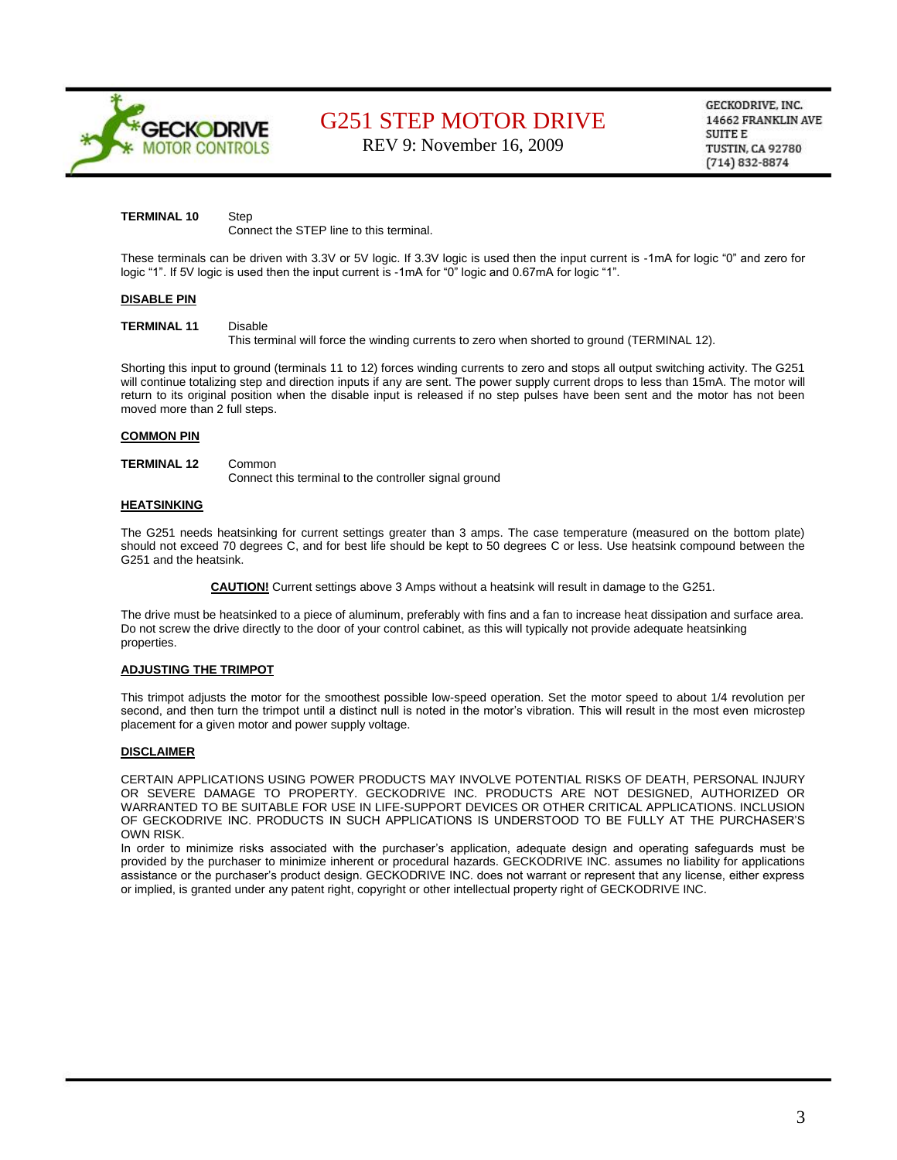

REV 9: November 16, 2009

GECKODRIVE, INC. 14662 FRANKLIN AVE SUITE E **TUSTIN, CA 92780**  $(714) 832 - 8874$ 

#### **TERMINAL 10** Step

Connect the STEP line to this terminal.

These terminals can be driven with 3.3V or 5V logic. If 3.3V logic is used then the input current is -1mA for logic "0" and zero for logic "1". If 5V logic is used then the input current is -1mA for "0" logic and 0.67mA for logic "1".

#### **DISABLE PIN**

#### **TERMINAL 11** Disable

This terminal will force the winding currents to zero when shorted to ground (TERMINAL 12).

Shorting this input to ground (terminals 11 to 12) forces winding currents to zero and stops all output switching activity. The G251 will continue totalizing step and direction inputs if any are sent. The power supply current drops to less than 15mA. The motor will return to its original position when the disable input is released if no step pulses have been sent and the motor has not been moved more than 2 full steps.

#### **COMMON PIN**

### **TERMINAL 12** Common

Connect this terminal to the controller signal ground

#### **HEATSINKING**

The G251 needs heatsinking for current settings greater than 3 amps. The case temperature (measured on the bottom plate) should not exceed 70 degrees C, and for best life should be kept to 50 degrees C or less. Use heatsink compound between the G251 and the heatsink.

**CAUTION!** Current settings above 3 Amps without a heatsink will result in damage to the G251.

The drive must be heatsinked to a piece of aluminum, preferably with fins and a fan to increase heat dissipation and surface area. Do not screw the drive directly to the door of your control cabinet, as this will typically not provide adequate heatsinking properties.

#### **ADJUSTING THE TRIMPOT**

This trimpot adjusts the motor for the smoothest possible low-speed operation. Set the motor speed to about 1/4 revolution per second, and then turn the trimpot until a distinct null is noted in the motor's vibration. This will result in the most even microstep placement for a given motor and power supply voltage.

#### **DISCLAIMER**

CERTAIN APPLICATIONS USING POWER PRODUCTS MAY INVOLVE POTENTIAL RISKS OF DEATH, PERSONAL INJURY OR SEVERE DAMAGE TO PROPERTY. GECKODRIVE INC. PRODUCTS ARE NOT DESIGNED, AUTHORIZED OR WARRANTED TO BE SUITABLE FOR USE IN LIFE-SUPPORT DEVICES OR OTHER CRITICAL APPLICATIONS. INCLUSION OF GECKODRIVE INC. PRODUCTS IN SUCH APPLICATIONS IS UNDERSTOOD TO BE FULLY AT THE PURCHASER'S OWN RISK.

In order to minimize risks associated with the purchaser's application, adequate design and operating safeguards must be provided by the purchaser to minimize inherent or procedural hazards. GECKODRIVE INC. assumes no liability for applications assistance or the purchaser's product design. GECKODRIVE INC. does not warrant or represent that any license, either express or implied, is granted under any patent right, copyright or other intellectual property right of GECKODRIVE INC.